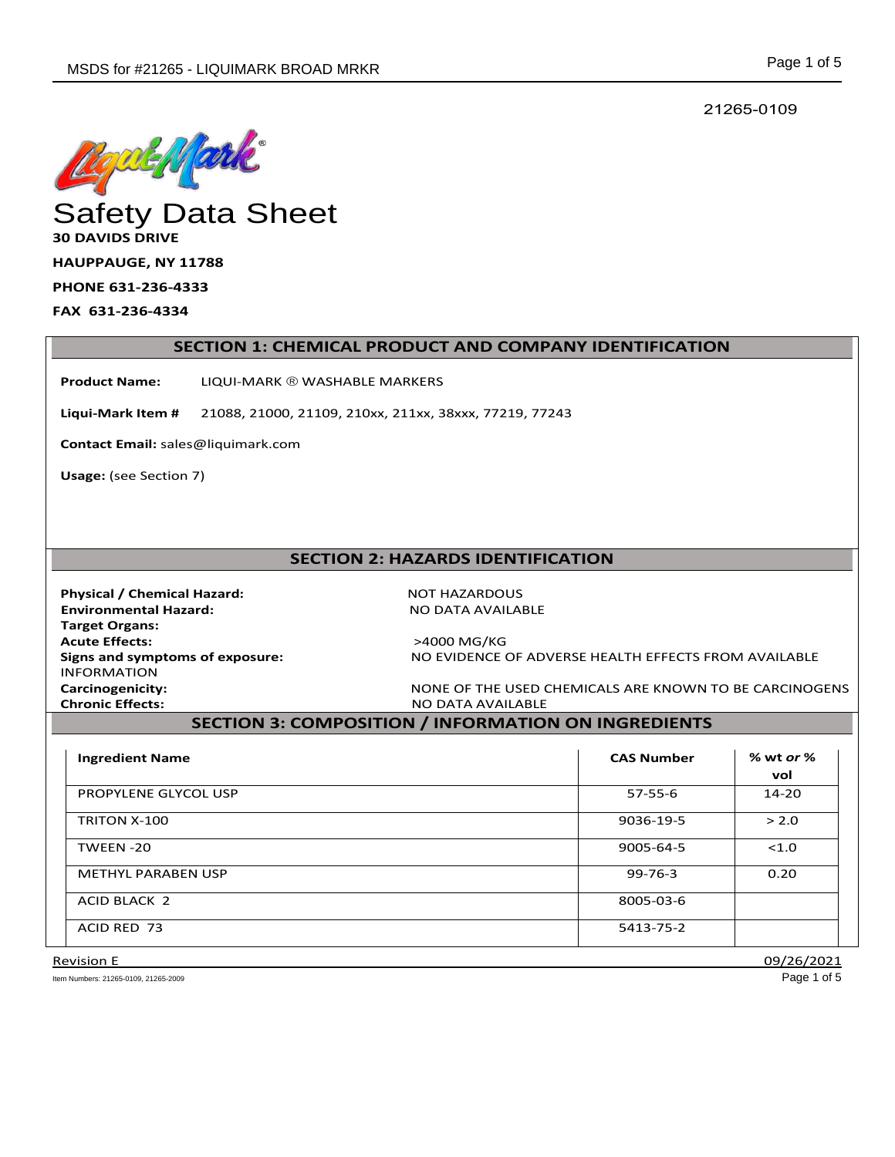21265-0109



# **30 DAVIDS DRIVE**

**HAUPPAUGE, NY 11788** 

**PHONE 631-236-4333** 

**FAX 631-236-4334** 

#### **SECTION 1: CHEMICAL PRODUCT AND COMPANY IDENTIFICATION**

**Product Name:** LIQUI-MARK ® WASHABLE MARKERS

**Liqui-Mark Item #** 21088, 21000, 21109, 210xx, 211xx, 38xxx, 77219, 77243

**Contact Email:** sales@liquimark.com

**Usage:** (see Section 7)

# **SECTION 2: HAZARDS IDENTIFICATION**

**Physical / Chemical Hazard:** NOT HAZARDOUS **Environmental Hazard:** NO DATA AVAILABLE  **Target Organs: Acute Effects:** >4000 MG/KG INFORMATION **Chronic Effects:** NO DATA AVAILABLE

**Signs and symptoms of exposure:** NO EVIDENCE OF ADVERSE HEALTH EFFECTS FROM AVAILABLE

**Carcinogenicity:** NONE OF THE USED CHEMICALS ARE KNOWN TO BE CARCINOGENS

# **SECTION 3: COMPOSITION / INFORMATION ON INGREDIENTS**

| <b>Ingredient Name</b>    | <b>CAS Number</b> | % wt <i>or</i> %<br>vol |
|---------------------------|-------------------|-------------------------|
| PROPYLENE GLYCOL USP      | $57 - 55 - 6$     | $14 - 20$               |
| TRITON X-100              | 9036-19-5         | > 2.0                   |
| TWEEN-20                  | 9005-64-5         | < 1.0                   |
| <b>METHYL PARABEN USP</b> | $99 - 76 - 3$     | 0.20                    |
| ACID BLACK 2              | 8005-03-6         |                         |
| ACID RED 73               | 5413-75-2         |                         |

Item Numbers: 21265-0109, 21265-2009 Page 1 of 5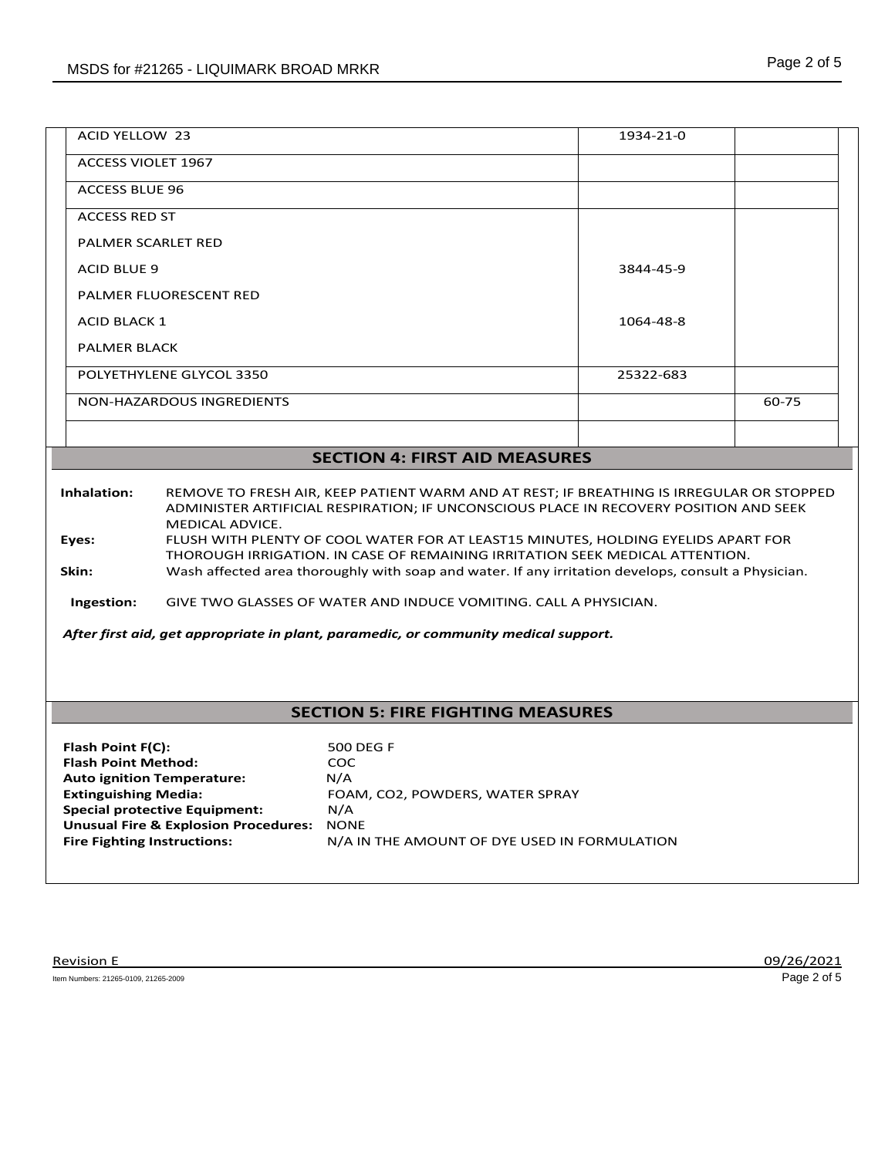| <b>ACID YELLOW 23</b>                | 1934-21-0 |       |
|--------------------------------------|-----------|-------|
| <b>ACCESS VIOLET 1967</b>            |           |       |
| <b>ACCESS BLUE 96</b>                |           |       |
| <b>ACCESS RED ST</b>                 |           |       |
| <b>PALMER SCARLET RED</b>            |           |       |
| <b>ACID BLUE 9</b>                   | 3844-45-9 |       |
| PALMER FLUORESCENT RED               |           |       |
| <b>ACID BLACK 1</b>                  | 1064-48-8 |       |
| <b>PALMER BLACK</b>                  |           |       |
| POLYETHYLENE GLYCOL 3350             | 25322-683 |       |
| NON-HAZARDOUS INGREDIENTS            |           | 60-75 |
|                                      |           |       |
| <b>SECTION 4: FIRST AID MEASURES</b> |           |       |

#### **Inhalation:** REMOVE TO FRESH AIR, KEEP PATIENT WARM AND AT REST; IF BREATHING IS IRREGULAR OR STOPPED ADMINISTER ARTIFICIAL RESPIRATION; IF UNCONSCIOUS PLACE IN RECOVERY POSITION AND SEEK MEDICAL ADVICE. **Eyes:** FLUSH WITH PLENTY OF COOL WATER FOR AT LEAST15 MINUTES, HOLDING EYELIDS APART FOR THOROUGH IRRIGATION. IN CASE OF REMAINING IRRITATION SEEK MEDICAL ATTENTION. **Skin:** Wash affected area thoroughly with soap and water. If any irritation develops, consult a Physician.

 **Ingestion:** GIVE TWO GLASSES OF WATER AND INDUCE VOMITING. CALL A PHYSICIAN.

*After first aid, get appropriate in plant, paramedic, or community medical support.*

## **SECTION 5: FIRE FIGHTING MEASURES**

| Flash Point F(C):                               | 500 DEG F                                    |
|-------------------------------------------------|----------------------------------------------|
| <b>Flash Point Method:</b>                      | <b>COC</b>                                   |
| <b>Auto ignition Temperature:</b>               | N/A                                          |
| <b>Extinguishing Media:</b>                     | FOAM, CO2, POWDERS, WATER SPRAY              |
| <b>Special protective Equipment:</b>            | N/A                                          |
| <b>Unusual Fire &amp; Explosion Procedures:</b> | <b>NONE</b>                                  |
| <b>Fire Fighting Instructions:</b>              | N/A IN THE AMOUNT OF DYE USED IN FORMULATION |
|                                                 |                                              |

Item Numbers: 21265-0109, 21265-2009 Page 2 of 5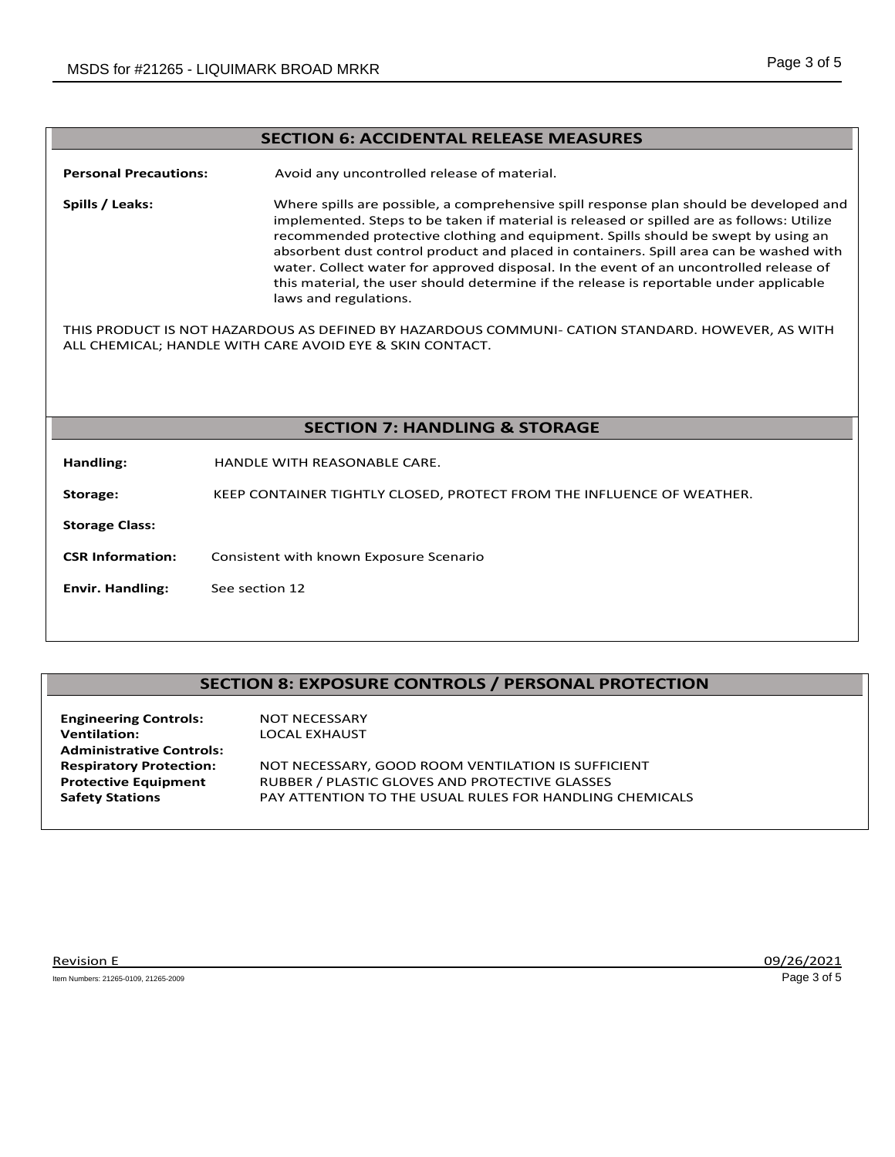#### **SECTION 6: ACCIDENTAL RELEASE MEASURES**

**Personal Precautions:** Avoid any uncontrolled release of material.

**Spills / Leaks:** Where spills are possible, a comprehensive spill response plan should be developed and implemented. Steps to be taken if material is released or spilled are as follows: Utilize recommended protective clothing and equipment. Spills should be swept by using an absorbent dust control product and placed in containers. Spill area can be washed with water. Collect water for approved disposal. In the event of an uncontrolled release of this material, the user should determine if the release is reportable under applicable laws and regulations.

THIS PRODUCT IS NOT HAZARDOUS AS DEFINED BY HAZARDOUS COMMUNI- CATION STANDARD. HOWEVER, AS WITH ALL CHEMICAL; HANDLE WITH CARE AVOID EYE & SKIN CONTACT.

#### **SECTION 7: HANDLING & STORAGE**

**Handling:** HANDLE WITH REASONABLE CARE.

**Storage:** KEEP CONTAINER TIGHTLY CLOSED, PROTECT FROM THE INFLUENCE OF WEATHER.

**Storage Class:** 

- **CSR Information:** Consistent with known Exposure Scenario
- **Envir. Handling:** See section 12

### **SECTION 8: EXPOSURE CONTROLS / PERSONAL PROTECTION**

| <b>Engineering Controls:</b>    | <b>NOT NECESSARY</b>                                    |
|---------------------------------|---------------------------------------------------------|
| <b>Ventilation:</b>             | LOCAL EXHAUST                                           |
| <b>Administrative Controls:</b> |                                                         |
| <b>Respiratory Protection:</b>  | NOT NECESSARY, GOOD ROOM VENTILATION IS SUFFICIENT      |
| <b>Protective Equipment</b>     | RUBBER / PLASTIC GLOVES AND PROTECTIVE GLASSES          |
| <b>Safety Stations</b>          | PAY ATTENTION TO THE USUAL RULES FOR HANDLING CHEMICALS |
|                                 |                                                         |

Item Numbers: 21265-0109, 21265-2009 Page 3 of 5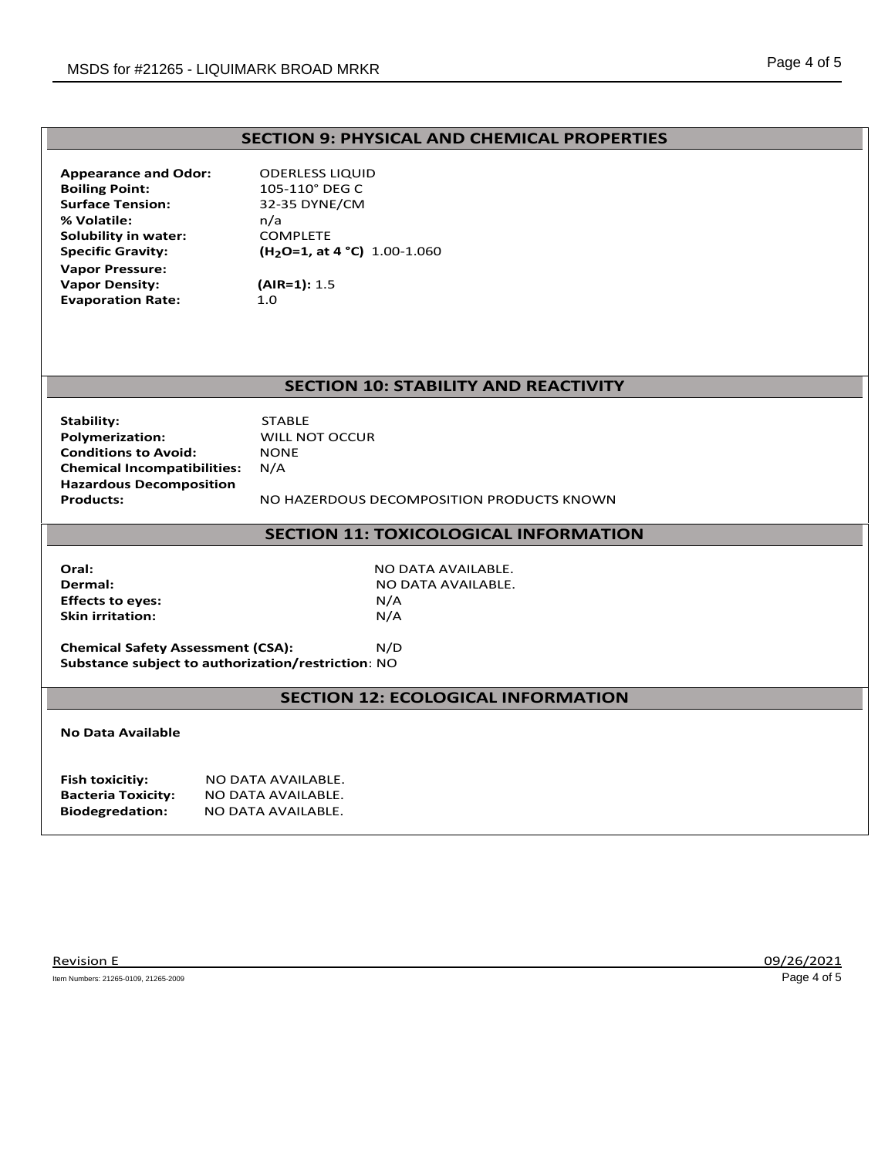# **SECTION 9: PHYSICAL AND CHEMICAL PROPERTIES**

| <b>Appearance and Odor:</b> | OD              |
|-----------------------------|-----------------|
| <b>Boiling Point:</b>       | 105             |
| <b>Surface Tension:</b>     | $32 -$          |
| % Volatile:                 | n/a             |
| Solubility in water:        | COI             |
| <b>Specific Gravity:</b>    | (H <sub>2</sub> |
| <b>Vapor Pressure:</b>      |                 |
| <b>Vapor Density:</b>       | (AIF            |
| <b>Evaporation Rate:</b>    | 1.0             |
|                             |                 |

**ADERLESS LIQUID Boiling Point:** 105-110° DEG C **Surface Tension:** 32-35 DYNE/CM **Solubility in water:** COMPLETE **Specific Gravity: (H2O=1, at 4 °C)** 1.00-1.060 **(AIR=1):** 1.5

# **SECTION 10: STABILITY AND REACTIVITY**

| Stability:                         | STA       |
|------------------------------------|-----------|
| <b>Polymerization:</b>             | WIL       |
| <b>Conditions to Avoid:</b>        | <b>NO</b> |
| <b>Chemical Incompatibilities:</b> | N/A       |
| <b>Hazardous Decomposition</b>     |           |
| <b>Products:</b>                   | NΩ        |

**STABLE Polymerization:** WILL NOT OCCUR **NONE**<br>N/A

**Products:** NO HAZERDOUS DECOMPOSITION PRODUCTS KNOWN

#### **SECTION 11: TOXICOLOGICAL INFORMATION**

**Effects to eyes:** N/A **Skin irritation:** N/A

**Oral:** NO DATA AVAILABLE. **Dermal:** NO DATA AVAILABLE.

**Chemical Safety Assessment (CSA):** N/D **Substance subject to authorization/restriction**: NO

#### **SECTION 12: ECOLOGICAL INFORMATION**

#### **No Data Available**

| Fish toxicitiy:           | NO DATA AVAILABLE. |
|---------------------------|--------------------|
| <b>Bacteria Toxicity:</b> | NO DATA AVAILABLE. |
| <b>Biodegredation:</b>    | NO DATA AVAILABLE. |

Item Numbers: 21265-0109, 21265-2009 Page 4 of 5